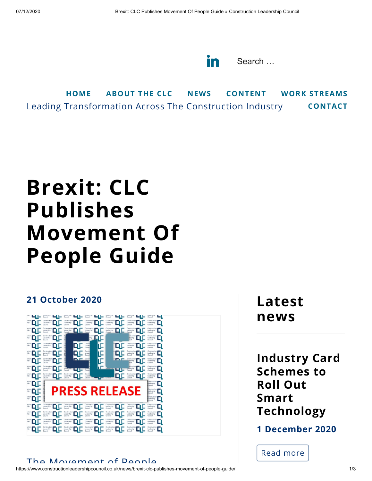in Search ...

Leading Transformation Across The Construction Industry **[HOME](https://www.constructionleadershipcouncil.co.uk/) [ABOUT](https://www.constructionleadershipcouncil.co.uk/about) THE CLC [NEWS](https://www.constructionleadershipcouncil.co.uk/news/) [CONTENT](https://www.constructionleadershipcouncil.co.uk/content/) WORK [STREAMS](https://www.constructionleadershipcouncil.co.uk/our-work/) [CONTACT](https://www.constructionleadershipcouncil.co.uk/contact/)**

## **Brexit: CLC Publishes Movement Of People Guide**

## **21 October 2020**



## The Movement of Deople

https://www.constructionleadershipcouncil.co.uk/news/brexit-clc-publishes-movement-of-people-guide/ 1/3

**Latest news**

**Industry Card Schemes to Roll Out Smart [Technology](https://www.constructionleadershipcouncil.co.uk/news/industry-card-schemes-to-roll-out-smart-technology/)**

**1 December 2020**

Read [more](https://www.constructionleadershipcouncil.co.uk/news/industry-card-schemes-to-roll-out-smart-technology/)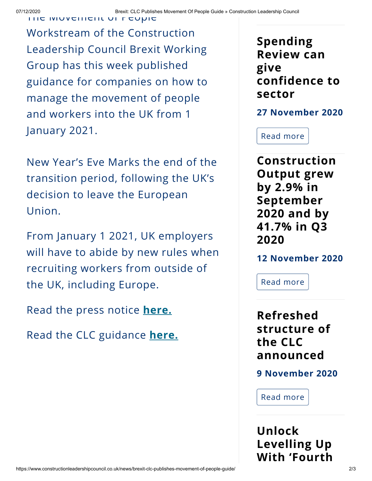The Movement of People

Workstream of the Construction Leadership Council Brexit Working Group has this week published guidance for companies on how to manage the movement of people and workers into the UK from 1 January 2021.

New Year's Eve Marks the end of the transition period, following the UK's decision to leave the European Union.

From January 1 2021, UK employers will have to abide by new rules when recruiting workers from outside of the UK, including Europe.

Read the press notice **[here.](https://www.constructionleadershipcouncil.co.uk/wp-content/uploads/2020/10/CLC-Press-Release-Brexit-CLC-Publishes-Movement-Of-People-Guide-Immed.-21-October-2020.pdf)**

Read the CLC guidance **[here.](https://www.constructionleadershipcouncil.co.uk/wp-content/uploads/2020/10/EU-Exit-Business-Readiness_Movement-of-People-what-should-you-be-doing-now_V1.pdf)**

**Spending Review can give [confidence](https://www.constructionleadershipcouncil.co.uk/news/spending-review-can-give-confidence-to-sector/) to sector**

**27 November 2020**

Read [more](https://www.constructionleadershipcouncil.co.uk/news/spending-review-can-give-confidence-to-sector/)

**[Construction](https://www.constructionleadershipcouncil.co.uk/news/construction-output-grew-by-2-9-in-september-2020-and-by-41-7-in-q3-2020/) Output grew by 2.9% in September 2020 and by 41.7% in Q3 2020**

**12 November 2020**

Read [more](https://www.constructionleadershipcouncil.co.uk/news/construction-output-grew-by-2-9-in-september-2020-and-by-41-7-in-q3-2020/)

**Refreshed structure of the CLC [announced](https://www.constructionleadershipcouncil.co.uk/news/refreshed-structure-of-the-clc-announced/)**

**9 November 2020**

Read [more](https://www.constructionleadershipcouncil.co.uk/news/refreshed-structure-of-the-clc-announced/)

**Unlock [Levelling](https://www.constructionleadershipcouncil.co.uk/news/unlock-levelling-up-with-fourth-zone/) Up With 'Fourth**